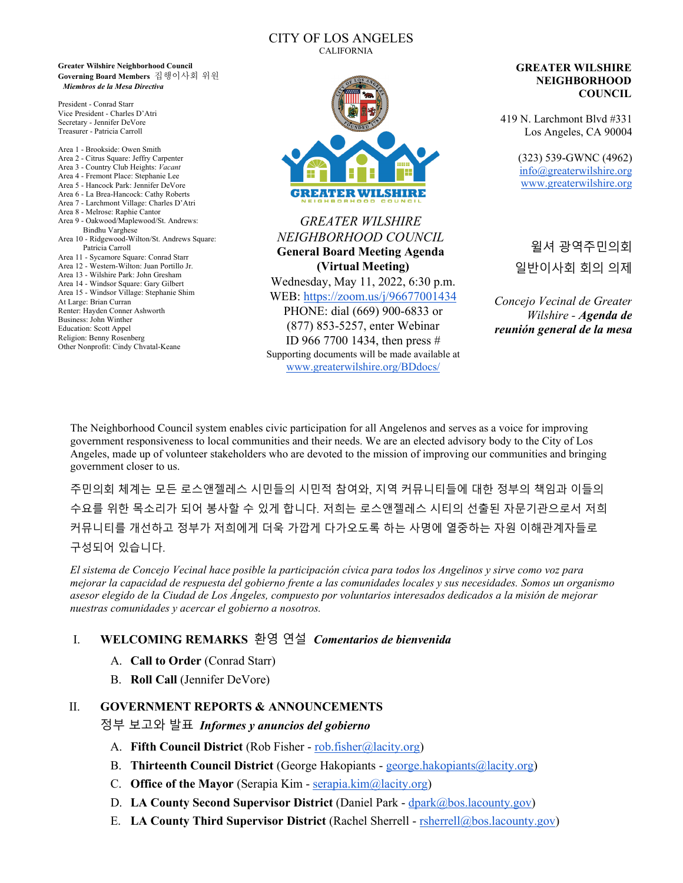#### CITY OF LOS ANGELES CALIFORNIA

**Greater Wilshire Neighborhood Council Governing Board Members** 집행이사회 위원 *Miembros de la Mesa Directiva*

President - Conrad Starr Vice President - Charles D'Atri Secretary - Jennifer DeVore Treasurer - Patricia Carroll

Area 1 - Brookside: Owen Smith Area 2 - Citrus Square: Jeffry Carpenter Area 3 - Country Club Heights: *Vacant*  Area 4 - Fremont Place: Stephanie Lee Area 5 - Hancock Park: Jennifer DeVore Area 6 - La Brea-Hancock: Cathy Roberts Area 7 - Larchmont Village: Charles D'Atri Area 8 - Melrose: Raphie Cantor Area 9 - Oakwood/Maplewood/St. Andrews: Bindhu Varghese Area 10 - Ridgewood-Wilton/St. Andrews Square: Patricia Carroll Area 11 - Sycamore Square: Conrad Starr Area 12 - Western-Wilton: Juan Portillo Jr. Area 13 - Wilshire Park: John Gresham Area 14 - Windsor Square: Gary Gilbert Area 15 - Windsor Village: Stephanie Shim At Large: Brian Curran Renter: Hayden Conner Ashworth Business: John Winther Education: Scott Appel Religion: Benny Rosenberg Other Nonprofit: Cindy Chvatal-Keane



*GREATER WILSHIRE NEIGHBORHOOD COUNCIL* **General Board Meeting Agenda (Virtual Meeting)** Wednesday, May 11, 2022, 6:30 p.m. WEB:<https://zoom.us/j/96677001434> PHONE: dial (669) 900-6833 or (877) 853-5257, enter Webinar ID 966 7700 1434, then press # Supporting documents will be made available at [www.greaterwilshire.org/BDdocs/](http://www.greaterwilshire.org/BDdocs/)

#### **GREATER WILSHIRE NEIGHBORHOOD COUNCIL**

419 N. Larchmont Blvd #331 Los Angeles, CA 90004

> (323) 539-GWNC (4962) [info@greaterwilshire.org](mailto:info@greaterwilshire.org) [www.greaterwilshire.org](http://www.greaterwilshire.org/)

> 윌셔 광역주민의회 일반이사회 회의 의제

*Concejo Vecinal de Greater Wilshire - Agenda de reunión general de la mesa*

The Neighborhood Council system enables civic participation for all Angelenos and serves as a voice for improving government responsiveness to local communities and their needs. We are an elected advisory body to the City of Los Angeles, made up of volunteer stakeholders who are devoted to the mission of improving our communities and bringing government closer to us.

주민의회 체계는 모든 로스앤젤레스 시민들의 시민적 참여와, 지역 커뮤니티들에 대한 정부의 책임과 이들의 수요를 위한 목소리가 되어 봉사할 수 있게 합니다. 저희는 로스앤젤레스 시티의 선출된 자문기관으로서 저희 커뮤니티를 개선하고 정부가 저희에게 더욱 가깝게 다가오도록 하는 사명에 열중하는 자원 이해관계자들로 구성되어 있습니다.

*El sistema de Concejo Vecinal hace posible la participación cívica para todos los Angelinos y sirve como voz para mejorar la capacidad de respuesta del gobierno frente a las comunidades locales y sus necesidades. Somos un organismo asesor elegido de la Ciudad de Los Ángeles, compuesto por voluntarios interesados dedicados a la misión de mejorar nuestras comunidades y acercar el gobierno a nosotros.*

## I. **WELCOMING REMARKS** 환영 연설 *Comentarios de bienvenida*

- A. **Call to Order** (Conrad Starr)
- B. **Roll Call** (Jennifer DeVore)

#### II. **GOVERNMENT REPORTS & ANNOUNCEMENTS**

정부 보고와 발표*Informes y anuncios del gobierno*

- A. **Fifth Council District** (Rob Fisher - [rob.fisher@lacity.org\)](mailto:rob.fisher@lacity.org)
- B. **Thirteenth Council District** (George Hakopiants - [george.hakopiants@lacity.org\)](mailto:george.hakopiants@lacity.org)
- C. **Office of the Mayor** (Serapia Kim - [serapia.kim@lacity.org\)](mailto:serapia.kim@lacity.org)
- D. **LA County Second Supervisor District** (Daniel Park - [dpark@bos.lacounty.gov\)](mailto:dpark@bos.lacounty.gov)
- E. **LA County Third Supervisor District** (Rachel Sherrell - [rsherrell@bos.lacounty.gov\)](mailto:rsherrell@bos.lacounty.gov)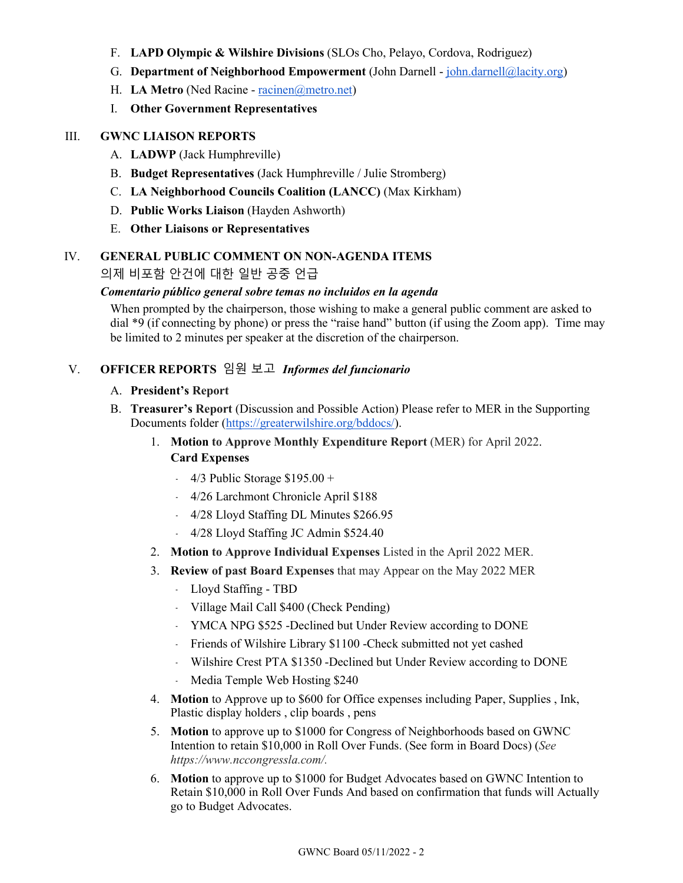- F. **LAPD Olympic & Wilshire Divisions** (SLOs Cho, Pelayo, Cordova, Rodriguez)
- G. **Department of Neighborhood Empowerment** (John Darnell - [john.darnell@lacity.org\)](mailto:john.darnell@lacity.org)
- H. **LA Metro** (Ned Racine - [racinen@metro.net\)](mailto:racinen@metro.net)
- I. **Other Government Representatives**

#### III. **GWNC LIAISON REPORTS**

- A. **LADWP** (Jack Humphreville)
- B. **Budget Representatives** (Jack Humphreville / Julie Stromberg)
- C. **LA Neighborhood Councils Coalition (LANCC)** (Max Kirkham)
- D. **Public Works Liaison** (Hayden Ashworth)
- E. **Other Liaisons or Representatives**

#### IV. **GENERAL PUBLIC COMMENT ON NON-AGENDA ITEMS**

의제 비포함 안건에 대한 일반 공중 언급

#### *Comentario público general sobre temas no incluidos en la agenda*

When prompted by the chairperson, those wishing to make a general public comment are asked to dial \*9 (if connecting by phone) or press the "raise hand" button (if using the Zoom app). Time may be limited to 2 minutes per speaker at the discretion of the chairperson.

### V. **OFFICER REPORTS** 임원 보고 *Informes del funcionario*

#### A. **President's Report**

- B. **Treasurer's Report** (Discussion and Possible Action) Please refer to MER in the Supporting Documents folder [\(https://greaterwilshire.org/bddocs/\)](https://greaterwilshire.org/bddocs/).
	- 1. **Motion to Approve Monthly Expenditure Report** (MER) for April 2022. **Card Expenses**
		- $-4/3$  Public Storage \$195.00 +
		- ﹣ 4/26 Larchmont Chronicle April \$188
		- ﹣ 4/28 Lloyd Staffing DL Minutes \$266.95
		- ﹣ 4/28 Lloyd Staffing JC Admin \$524.40
	- 2. **Motion to Approve Individual Expenses** Listed in the April 2022 MER.
	- 3. **Review of past Board Expenses** that may Appear on the May 2022 MER
		- ﹣ Lloyd Staffing TBD
		- ﹣ Village Mail Call \$400 (Check Pending)
		- ﹣ YMCA NPG \$525 -Declined but Under Review according to DONE
		- ﹣ Friends of Wilshire Library \$1100 -Check submitted not yet cashed
		- ﹣ Wilshire Crest PTA \$1350 -Declined but Under Review according to DONE
		- Media Temple Web Hosting \$240
	- 4. **Motion** to Approve up to \$600 for Office expenses including Paper, Supplies , Ink, Plastic display holders , clip boards , pens
	- 5. **Motion** to approve up to \$1000 for Congress of Neighborhoods based on GWNC Intention to retain \$10,000 in Roll Over Funds. (See form in Board Docs) (*See https://www.nccongressla.com/.*
	- 6. **Motion** to approve up to \$1000 for Budget Advocates based on GWNC Intention to Retain \$10,000 in Roll Over Funds And based on confirmation that funds will Actually go to Budget Advocates.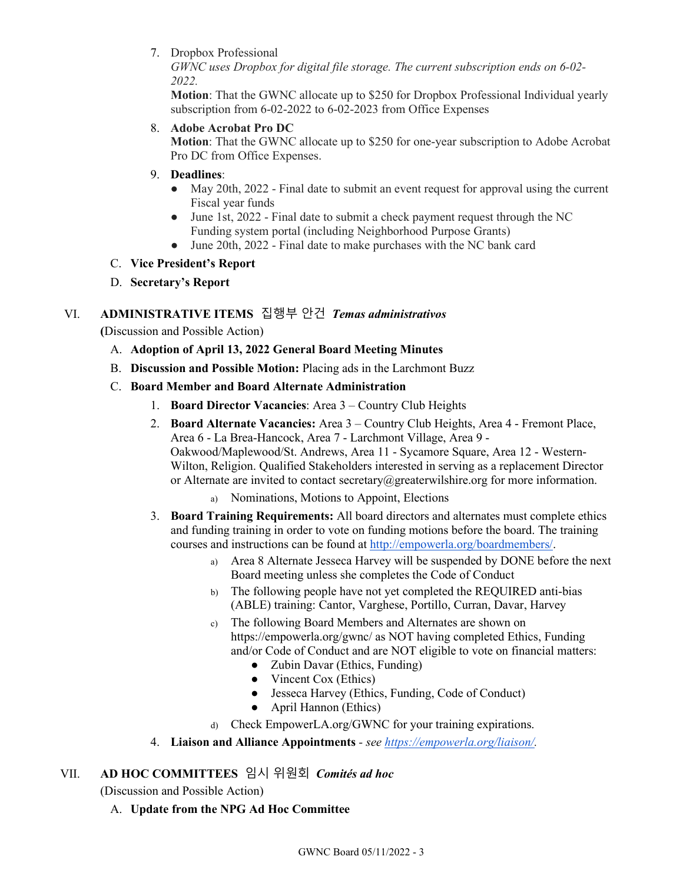7. Dropbox Professional

*GWNC uses Dropbox for digital file storage. The current subscription ends on 6-02- 2022.* 

**Motion**: That the GWNC allocate up to \$250 for Dropbox Professional Individual yearly subscription from 6-02-2022 to 6-02-2023 from Office Expenses

8. **Adobe Acrobat Pro DC**

**Motion**: That the GWNC allocate up to \$250 for one-year subscription to Adobe Acrobat Pro DC from Office Expenses.

- 9. **Deadlines**:
	- May 20th, 2022 Final date to submit an event request for approval using the current Fiscal year funds
	- June 1st, 2022 Final date to submit a check payment request through the NC Funding system portal (including Neighborhood Purpose Grants)
	- June 20th, 2022 Final date to make purchases with the NC bank card
- C. **Vice President's Report**
- D. **Secretary's Report**

# VI. **ADMINISTRATIVE ITEMS** 집행부 안건*Temas administrativos*

**(**Discussion and Possible Action)

- A. **Adoption of April 13, 2022 General Board Meeting Minutes**
- B. **Discussion and Possible Motion:** Placing ads in the Larchmont Buzz
- C. **Board Member and Board Alternate Administration**
	- 1. **Board Director Vacancies**: Area 3 Country Club Heights
	- 2. **Board Alternate Vacancies:** Area 3 Country Club Heights, Area 4 Fremont Place, Area 6 - La Brea-Hancock, Area 7 - Larchmont Village, Area 9 - Oakwood/Maplewood/St. Andrews, Area 11 - Sycamore Square, Area 12 - Western-Wilton, Religion. Qualified Stakeholders interested in serving as a replacement Director or Alternate are invited to contact secretary $@g$  greaterwilshire.org for more information.
		- a) Nominations, Motions to Appoint, Elections
	- 3. **Board Training Requirements:** All board directors and alternates must complete ethics and funding training in order to vote on funding motions before the board. The training courses and instructions can be found at [http://empowerla.org/boardmembers/.](http://empowerla.org/boardmembers/)
		- a) Area 8 Alternate Jesseca Harvey will be suspended by DONE before the next Board meeting unless she completes the Code of Conduct
		- b) The following people have not yet completed the REQUIRED anti-bias (ABLE) training: Cantor, Varghese, Portillo, Curran, Davar, Harvey
		- c) The following Board Members and Alternates are shown on https://empowerla.org/gwnc/ as NOT having completed Ethics, Funding and/or Code of Conduct and are NOT eligible to vote on financial matters:
			- Zubin Davar (Ethics, Funding)
			- Vincent Cox (Ethics)
			- Jesseca Harvey (Ethics, Funding, Code of Conduct)
			- April Hannon (Ethics)
		- d) Check EmpowerLA.org/GWNC for your training expirations.
	- 4. **Liaison and Alliance Appointments**  *see [https://empowerla.org/liaison/.](https://empowerla.org/liaison/)*

# VII. **AD HOC COMMITTEES** 임시 위원회*Comités ad hoc*

(Discussion and Possible Action)

A. **Update from the NPG Ad Hoc Committee**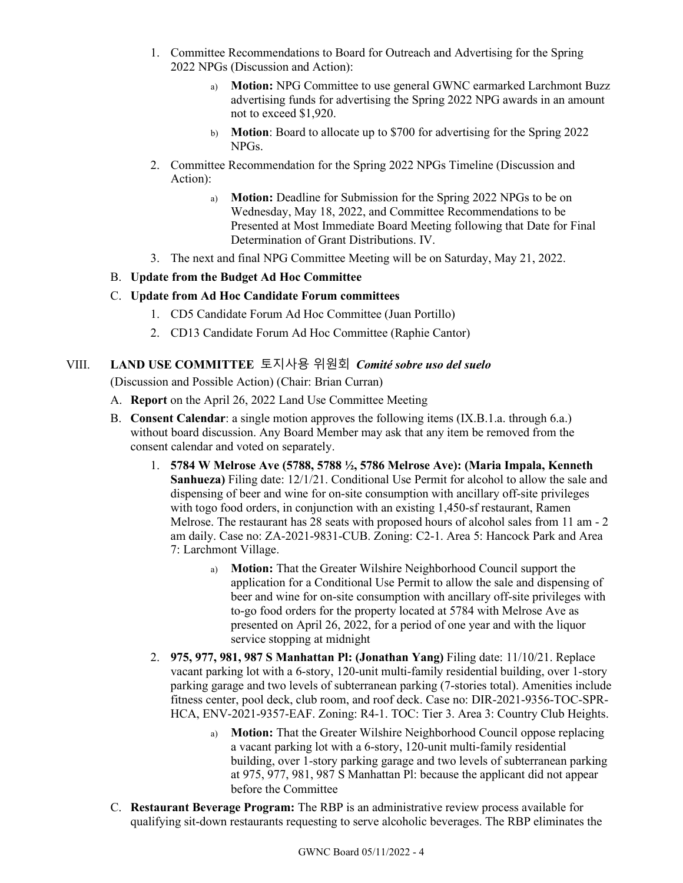- 1. Committee Recommendations to Board for Outreach and Advertising for the Spring 2022 NPGs (Discussion and Action):
	- a) **Motion:** NPG Committee to use general GWNC earmarked Larchmont Buzz advertising funds for advertising the Spring 2022 NPG awards in an amount not to exceed \$1,920.
	- b) **Motion**: Board to allocate up to \$700 for advertising for the Spring 2022 NPGs.
- 2. Committee Recommendation for the Spring 2022 NPGs Timeline (Discussion and Action):
	- a) **Motion:** Deadline for Submission for the Spring 2022 NPGs to be on Wednesday, May 18, 2022, and Committee Recommendations to be Presented at Most Immediate Board Meeting following that Date for Final Determination of Grant Distributions. IV.
- 3. The next and final NPG Committee Meeting will be on Saturday, May 21, 2022.

## B. **Update from the Budget Ad Hoc Committee**

## C. **Update from Ad Hoc Candidate Forum committees**

- 1. CD5 Candidate Forum Ad Hoc Committee (Juan Portillo)
- 2. CD13 Candidate Forum Ad Hoc Committee (Raphie Cantor)

# VIII. **LAND USE COMMITTEE** 토지사용 위원회*Comité sobre uso del suelo*

(Discussion and Possible Action) (Chair: Brian Curran)

- A. **Report** on the April 26, 2022 Land Use Committee Meeting
- B. **Consent Calendar**: a single motion approves the following items (IX.B.1.a. through 6.a.) without board discussion. Any Board Member may ask that any item be removed from the consent calendar and voted on separately.
	- 1. **5784 W Melrose Ave (5788, 5788 ½, 5786 Melrose Ave): (Maria Impala, Kenneth Sanhueza)** Filing date: 12/1/21. Conditional Use Permit for alcohol to allow the sale and dispensing of beer and wine for on-site consumption with ancillary off-site privileges with togo food orders, in conjunction with an existing 1,450-sf restaurant, Ramen Melrose. The restaurant has 28 seats with proposed hours of alcohol sales from 11 am - 2 am daily. Case no: ZA-2021-9831-CUB. Zoning: C2-1. Area 5: Hancock Park and Area 7: Larchmont Village.
		- a) **Motion:** That the Greater Wilshire Neighborhood Council support the application for a Conditional Use Permit to allow the sale and dispensing of beer and wine for on-site consumption with ancillary off-site privileges with to-go food orders for the property located at 5784 with Melrose Ave as presented on April 26, 2022, for a period of one year and with the liquor service stopping at midnight
	- 2. **975, 977, 981, 987 S Manhattan Pl: (Jonathan Yang)** Filing date: 11/10/21. Replace vacant parking lot with a 6-story, 120-unit multi-family residential building, over 1-story parking garage and two levels of subterranean parking (7-stories total). Amenities include fitness center, pool deck, club room, and roof deck. Case no: DIR-2021-9356-TOC-SPR-HCA, ENV-2021-9357-EAF. Zoning: R4-1. TOC: Tier 3. Area 3: Country Club Heights.
		- a) **Motion:** That the Greater Wilshire Neighborhood Council oppose replacing a vacant parking lot with a 6-story, 120-unit multi-family residential building, over 1-story parking garage and two levels of subterranean parking at 975, 977, 981, 987 S Manhattan Pl: because the applicant did not appear before the Committee
- C. **Restaurant Beverage Program:** The RBP is an administrative review process available for qualifying sit-down restaurants requesting to serve alcoholic beverages. The RBP eliminates the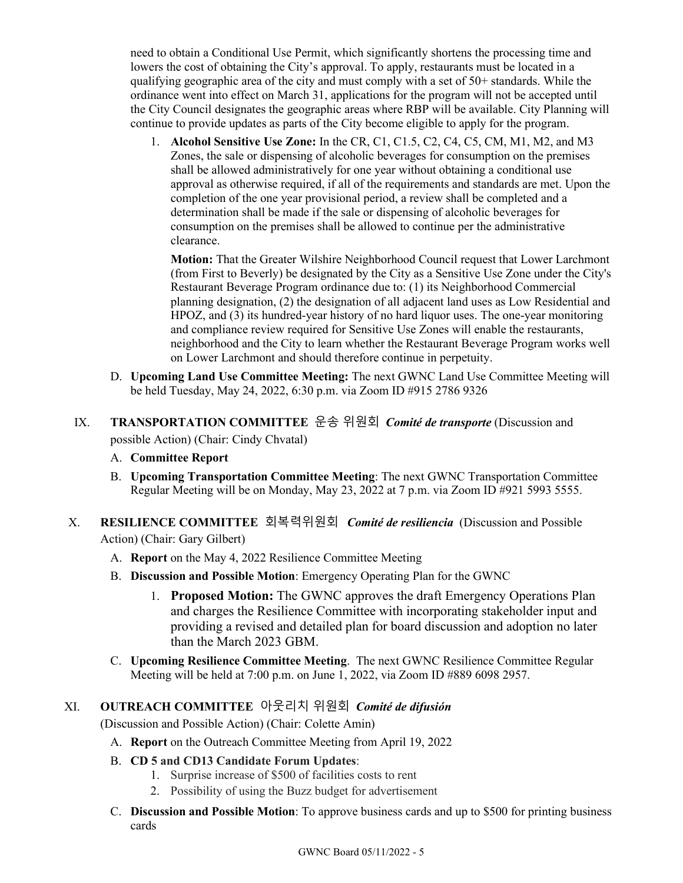need to obtain a Conditional Use Permit, which significantly shortens the processing time and lowers the cost of obtaining the City's approval. To apply, restaurants must be located in a qualifying geographic area of the city and must comply with a set of  $50+$  standards. While the ordinance went into effect on March 31, applications for the program will not be accepted until the City Council designates the geographic areas where RBP will be available. City Planning will continue to provide updates as parts of the City become eligible to apply for the program.

1. **Alcohol Sensitive Use Zone:** In the CR, C1, C1.5, C2, C4, C5, CM, M1, M2, and M3 Zones, the sale or dispensing of alcoholic beverages for consumption on the premises shall be allowed administratively for one year without obtaining a conditional use approval as otherwise required, if all of the requirements and standards are met. Upon the completion of the one year provisional period, a review shall be completed and a determination shall be made if the sale or dispensing of alcoholic beverages for consumption on the premises shall be allowed to continue per the administrative clearance.

**Motion:** That the Greater Wilshire Neighborhood Council request that Lower Larchmont (from First to Beverly) be designated by the City as a Sensitive Use Zone under the City's Restaurant Beverage Program ordinance due to: (1) its Neighborhood Commercial planning designation, (2) the designation of all adjacent land uses as Low Residential and HPOZ, and (3) its hundred-year history of no hard liquor uses. The one-year monitoring and compliance review required for Sensitive Use Zones will enable the restaurants, neighborhood and the City to learn whether the Restaurant Beverage Program works well on Lower Larchmont and should therefore continue in perpetuity.

- D. **Upcoming Land Use Committee Meeting:** The next GWNC Land Use Committee Meeting will be held Tuesday, May 24, 2022, 6:30 p.m. via Zoom ID #915 2786 9326
- IX. **TRANSPORTATION COMMITTEE** 운송 위원회*Comité de transporte* (Discussion and possible Action) (Chair: Cindy Chvatal)
	- A. **Committee Report**
	- B. **Upcoming Transportation Committee Meeting**: The next GWNC Transportation Committee Regular Meeting will be on Monday, May 23, 2022 at 7 p.m. via Zoom ID #921 5993 5555.
- X. **RESILIENCE COMMITTEE** 회복력위원회 *Comité de resiliencia*(Discussion and Possible Action) (Chair: Gary Gilbert)
	- A. **Report** on the May 4, 2022 Resilience Committee Meeting
	- B. **Discussion and Possible Motion**: Emergency Operating Plan for the GWNC
		- 1. **Proposed Motion:** The GWNC approves the draft Emergency Operations Plan and charges the Resilience Committee with incorporating stakeholder input and providing a revised and detailed plan for board discussion and adoption no later than the March 2023 GBM.
	- C. **Upcoming Resilience Committee Meeting**. The next GWNC Resilience Committee Regular Meeting will be held at 7:00 p.m. on June 1, 2022, via Zoom ID #889 6098 2957.

# XI. **OUTREACH COMMITTEE** 아웃리치 위원회*Comité de difusión*

(Discussion and Possible Action) (Chair: Colette Amin)

- A. **Report** on the Outreach Committee Meeting from April 19, 2022
- B. **CD 5 and CD13 Candidate Forum Updates**:
	- 1. Surprise increase of \$500 of facilities costs to rent
	- 2. Possibility of using the Buzz budget for advertisement
- C. **Discussion and Possible Motion**: To approve business cards and up to \$500 for printing business cards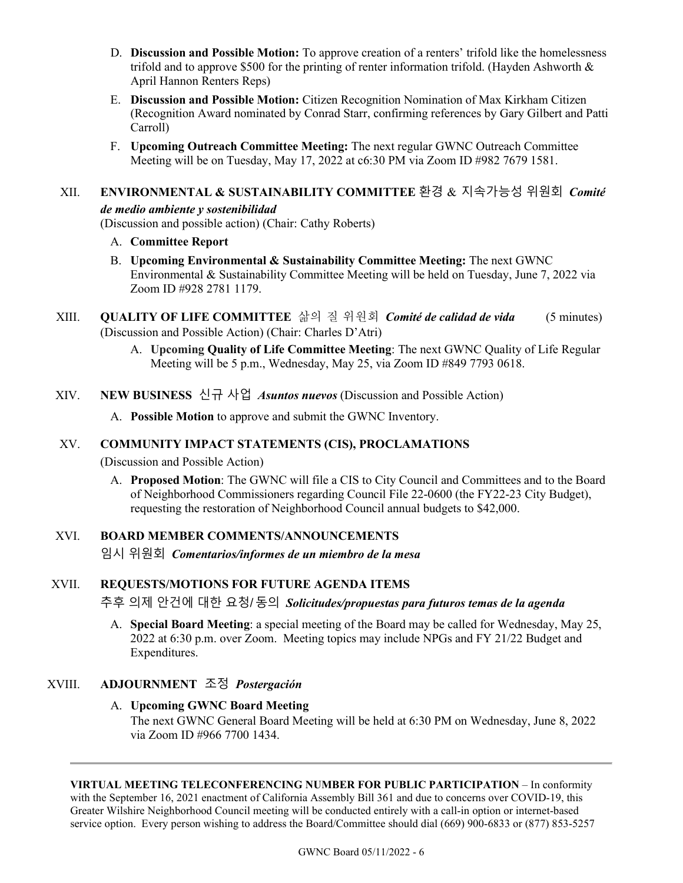- D. **Discussion and Possible Motion:** To approve creation of a renters' trifold like the homelessness trifold and to approve \$500 for the printing of renter information trifold. (Hayden Ashworth  $\&$ April Hannon Renters Reps)
- E. **Discussion and Possible Motion:** Citizen Recognition Nomination of Max Kirkham Citizen (Recognition Award nominated by Conrad Starr, confirming references by Gary Gilbert and Patti Carroll)
- F. **Upcoming Outreach Committee Meeting:** The next regular GWNC Outreach Committee Meeting will be on Tuesday, May 17, 2022 at c6:30 PM via Zoom ID #982 7679 1581.

# XII. **ENVIRONMENTAL & SUSTAINABILITY COMMITTEE** 환경 & 지속가능성 위원회*Comité de medio ambiente y sostenibilidad*

(Discussion and possible action) (Chair: Cathy Roberts)

- A. **Committee Report**
- B. **Upcoming Environmental & Sustainability Committee Meeting:** The next GWNC Environmental & Sustainability Committee Meeting will be held on Tuesday, June 7, 2022 via Zoom ID #928 2781 1179.
- XIII. **QUALITY OF LIFE COMMITTEE** 삶의 질 위원회*Comité de calidad de vida* (5 minutes) (Discussion and Possible Action) (Chair: Charles D'Atri)
	- A. **Upcoming Quality of Life Committee Meeting**: The next GWNC Quality of Life Regular Meeting will be 5 p.m., Wednesday, May 25, via Zoom ID #849 7793 0618.
- XIV. **NEW BUSINESS** 신규 사업*Asuntos nuevos* (Discussion and Possible Action)
	- A. **Possible Motion** to approve and submit the GWNC Inventory.

## XV. **COMMUNITY IMPACT STATEMENTS (CIS), PROCLAMATIONS**

(Discussion and Possible Action)

A. **Proposed Motion**: The GWNC will file a CIS to City Council and Committees and to the Board of Neighborhood Commissioners regarding Council File 22-0600 (the FY22-23 City Budget), requesting the restoration of Neighborhood Council annual budgets to \$42,000.

## XVI. **BOARD MEMBER COMMENTS/ANNOUNCEMENTS**

임시 위원회*Comentarios/informes de un miembro de la mesa*

## XVII. **REQUESTS/MOTIONS FOR FUTURE AGENDA ITEMS**

추후 의제 안건에 대한 요청/동의*Solicitudes/propuestas para futuros temas de la agenda*

A. **Special Board Meeting**: a special meeting of the Board may be called for Wednesday, May 25, 2022 at 6:30 p.m. over Zoom. Meeting topics may include NPGs and FY 21/22 Budget and Expenditures.

## XVIII. **ADJOURNMENT** 조정 *Postergación*

#### A. **Upcoming GWNC Board Meeting**

The next GWNC General Board Meeting will be held at 6:30 PM on Wednesday, June 8, 2022 via Zoom ID #966 7700 1434.

**VIRTUAL MEETING TELECONFERENCING NUMBER FOR PUBLIC PARTICIPATION** – In conformity with the September 16, 2021 enactment of California Assembly Bill 361 and due to concerns over COVID-19, this Greater Wilshire Neighborhood Council meeting will be conducted entirely with a call-in option or internet-based service option. Every person wishing to address the Board/Committee should dial (669) 900-6833 or (877) 853-5257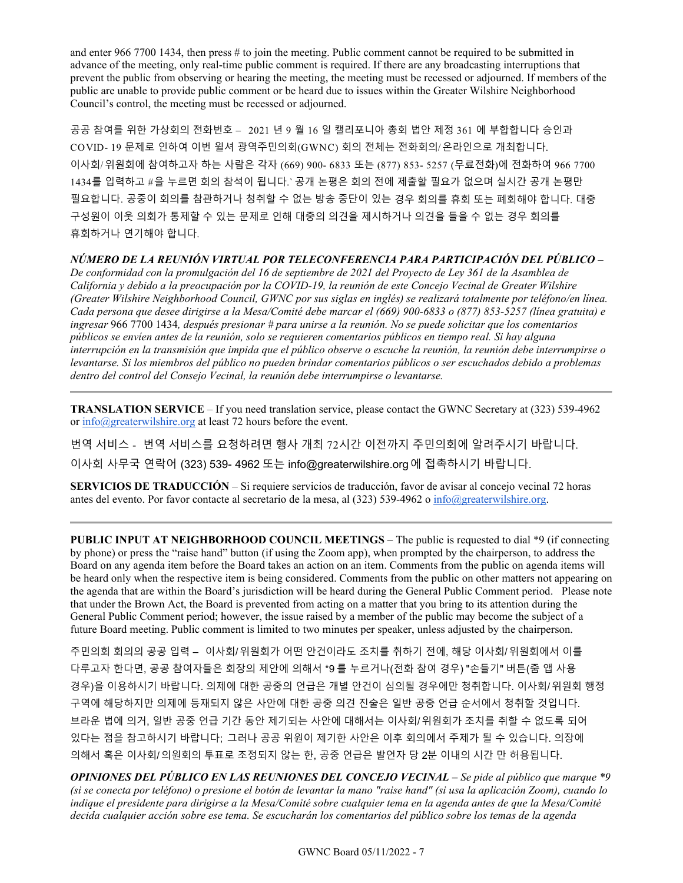and enter 966 7700 1434, then press # to join the meeting. Public comment cannot be required to be submitted in advance of the meeting, only real-time public comment is required. If there are any broadcasting interruptions that prevent the public from observing or hearing the meeting, the meeting must be recessed or adjourned. If members of the public are unable to provide public comment or be heard due to issues within the Greater Wilshire Neighborhood Council's control, the meeting must be recessed or adjourned.

공공 참여를 위한 가상회의 전화번호 – 2021 년 9 월 16 일 캘리포니아 총회 법안 제정 361 에 부합합니다 승인과 COVID- 19 문제로 인하여 이번 윌셔 광역주민의회(GWNC) 회의 전체는 전화회의/온라인으로 개최합니다. 이사회/위원회에 참여하고자 하는 사람은 각자 (669) 900- 6833 또는 (877) 853- 5257 (무료전화)에 전화하여 966 7700 1434를 입력하고 #을 누르면 회의 참석이 됩니다.` 공개 논평은 회의 전에 제출할 필요가 없으며 실시간 공개 논평만 필요합니다. 공중이 회의를 참관하거나 청취할 수 없는 방송 중단이 있는 경우 회의를 휴회 또는 폐회해야 합니다. 대중 구성원이 이웃 의회가 통제할 수 있는 문제로 인해 대중의 의견을 제시하거나 의견을 들을 수 없는 경우 회의를 휴회하거나 연기해야 합니다.

#### *NÚMERO DE LA REUNIÓN VIRTUAL POR TELECONFERENCIA PARA PARTICIPACIÓN DEL PÚBLICO* –

*De conformidad con la promulgación del 16 de septiembre de 2021 del Proyecto de Ley 361 de la Asamblea de California y debido a la preocupación por la COVID-19, la reunión de este Concejo Vecinal de Greater Wilshire (Greater Wilshire Neighborhood Council, GWNC por sus siglas en inglés) se realizará totalmente por teléfono/en línea. Cada persona que desee dirigirse a la Mesa/Comité debe marcar el (669) 900-6833 o (877) 853-5257 (línea gratuita) e ingresar* 966 7700 1434*, después presionar # para unirse a la reunión. No se puede solicitar que los comentarios públicos se envíen antes de la reunión, solo se requieren comentarios públicos en tiempo real. Si hay alguna interrupción en la transmisión que impida que el público observe o escuche la reunión, la reunión debe interrumpirse o levantarse. Si los miembros del público no pueden brindar comentarios públicos o ser escuchados debido a problemas dentro del control del Consejo Vecinal, la reunión debe interrumpirse o levantarse.*

**TRANSLATION SERVICE** – If you need translation service, please contact the GWNC Secretary at (323) 539-4962 or [info@greaterwilshire.org](mailto:info@greaterwilshire.org) at least 72 hours before the event.

번역 서비스 - 번역 서비스를 요청하려면 행사 개최 72시간 이전까지 주민의회에 알려주시기 바랍니다. 이사회 사무국 연락어 (323) 539- 4962 또는 [info@greaterwilshire.org](mailto:info@greaterwilshire.org)에 접촉하시기 바랍니다.

**SERVICIOS DE TRADUCCIÓN** – [Si requiere servicios de traducción, favor de avisar al concejo vecinal 72 horas](http://www.greaterwilshire.org/)  [antes del evento. Por favor contacte al secretario de la mesa, al \(323\) 539-4962 o](http://www.greaterwilshire.org/) [info@greaterwilshire.org](mailto:info@greaterwilshire.org)[.](http://www.greaterwilshire.org/)

**PUBLIC INPUT AT NEIGHBORHOOD COUNCIL MEETINGS** – The public is requested to dial \*9 (if connecting by phone) or press the "raise hand" button (if using the Zoom app), when prompted by the chairperson, to address the Board on any agenda item before the Board takes an action on an item. Comments from the public on agenda items will be heard only when the respective item is being considered. Comments from the public on other matters not appearing on the agenda that are within the Board's jurisdiction will be heard during the General Public Comment period. Please note that under the Brown Act, the Board is prevented from acting on a matter that you bring to its attention during the General Public Comment period; however, the issue raised by a member of the public may become the subject of a future Board meeting. Public comment is limited to two minutes per speaker, unless adjusted by the chairperson.

주민의회 회의의 공공 입력 – 이사회/위원회가 어떤 안건이라도 조치를 취하기 전에, 해당 이사회/위원회에서 이를 다루고자 한다면, 공공 참여자들은 회장의 제안에 의해서 \*9 를 누르거나(전화 참여 경우) "손들기" 버튼(줌 앱 사용 경우)을 이용하시기 바랍니다. 의제에 대한 공중의 언급은 개별 안건이 심의될 경우에만 청취합니다. 이사회/위원회 행정 구역에 해당하지만 의제에 등재되지 않은 사안에 대한 공중 의견 진술은 일반 공중 언급 순서에서 청취할 것입니다. 브라운 법에 의거, 일반 공중 언급 기간 동안 제기되는 사안에 대해서는 이사회/위원회가 조치를 취할 수 없도록 되어 있다는 점을 참고하시기 바랍니다; 그러나 공공 위원이 제기한 사안은 이후 회의에서 주제가 될 수 있습니다. 의장에 의해서 혹은 이사회/의원회의 투표로 조정되지 않는 한, 공중 언급은 발언자 당 2분 이내의 시간 만 허용됩니다.

*OPINIONES DEL PÚBLICO EN LAS REUNIONES DEL CONCEJO VECINAL – Se pide al público que marque \*9 (si se conecta por teléfono) o presione el botón de levantar la mano "raise hand" (si usa la aplicación Zoom), cuando lo indique el presidente para dirigirse a la Mesa/Comité sobre cualquier tema en la agenda antes de que la Mesa/Comité decida cualquier acción sobre ese tema. Se escucharán los comentarios del público sobre los temas de la agenda*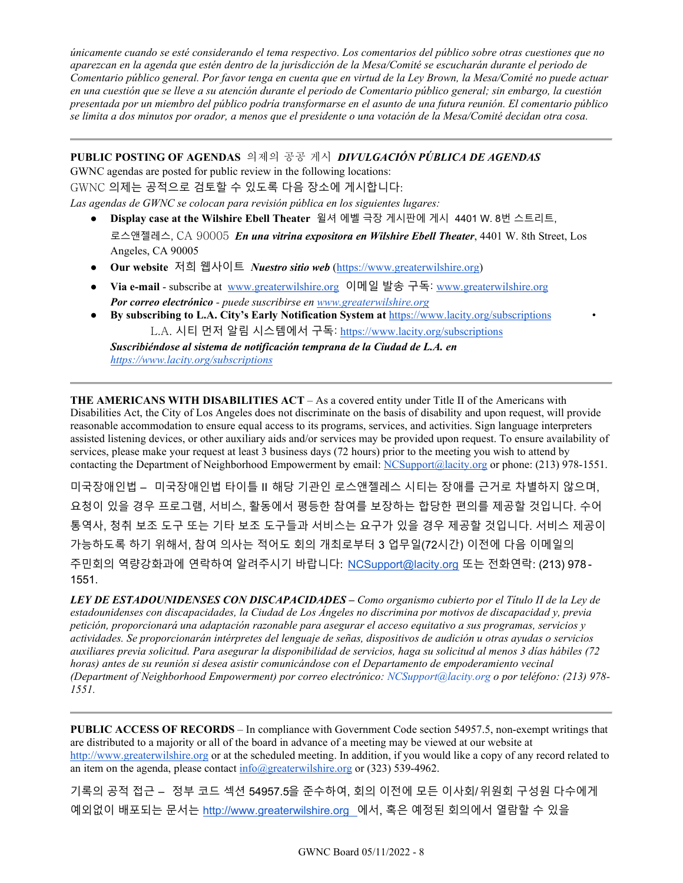*únicamente cuando se esté considerando el tema respectivo. Los comentarios del público sobre otras cuestiones que no aparezcan en la agenda que estén dentro de la jurisdicción de la Mesa/Comité se escucharán durante el periodo de Comentario público general. Por favor tenga en cuenta que en virtud de la Ley Brown, la Mesa/Comité no puede actuar en una cuestión que se lleve a su atención durante el periodo de Comentario público general; sin embargo, la cuestión presentada por un miembro del público podría transformarse en el asunto de una futura reunión. El comentario público se limita a dos minutos por orador, a menos que el presidente o una votación de la Mesa/Comité decidan otra cosa.*

**PUBLIC POSTING OF AGENDAS** 의제의 공공 게시*DIVULGACIÓN PÚBLICA DE AGENDAS*  GWNC agendas are posted for public review in the following locations: GWNC 의제는 공적으로 검토할 수 있도록 다음 장소에 게시합니다: *Las agendas de GWNC se colocan para revisión pública en los siguientes lugares:*

- **Display case at the Wilshire Ebell Theater** 윌셔 에벨 극장 게시판에 게시 4401 W. 8번 스트리트, 로스앤젤레스, CA 90005 *En una vitrina expositora en Wilshire Ebell Theater*, 4401 W. 8th Street, Los Angeles, CA 90005
- **Our website** 저희 웹사이트 *Nuestro sitio web* [\(https://www.greaterwilshire.org\)](https://www.greaterwilshire.org/)
- **Via e-mail** subscribe at [www.greaterwilshire.org](http://www.greaterwilshire.org/) 이메일 발송 구독: [www.greaterwilshire.org](http://www.greaterwilshire.org/)  *Por correo electrónico - puede suscribirse en [www.greaterwilshire.org](http://www.greaterwilshire.org/)*
- **By subscribing to L.A. City's Early Notification System at** <https://www.lacity.org/subscriptions> L.A. 시티 먼저 알림 시스템에서 구독: <https://www.lacity.org/subscriptions>

*Suscribiéndose al sistema de notificación temprana de la Ciudad de L.A. en <https://www.lacity.org/subscriptions>*

**THE AMERICANS WITH DISABILITIES ACT** – As a covered entity under Title II of the Americans with Disabilities Act, the City of Los Angeles does not discriminate on the basis of disability and upon request, will provide reasonable accommodation to ensure equal access to its programs, services, and activities. Sign language interpreters assisted listening devices, or other auxiliary aids and/or services may be provided upon request. To ensure availability of services, please make your request at least 3 business days (72 hours) prior to the meeting you wish to attend by contacting the Department of Neighborhood Empowerment by email: [NCSupport@lacity.org](mailto:NCSupport@lacity.org) or phone: (213) 978-1551.

미국장애인법 – 미국장애인법 타이틀 II 해당 기관인 로스앤젤레스 시티는 장애를 근거로 차별하지 않으며, 요청이 있을 경우 프로그램, 서비스, 활동에서 평등한 참여를 보장하는 합당한 편의를 제공할 것입니다. 수어 통역사, 청취 보조 도구 또는 기타 보조 도구들과 서비스는 요구가 있을 경우 제공할 것입니다. 서비스 제공이 가능하도록 하기 위해서, 참여 의사는 적어도 회의 개최로부터 3 업무일(72시간) 이전에 다음 이메일의 주민회의 역량강화과에 연락하여 알려주시기 바랍니다: [NCSupport@lacity.org](mailto:NCSupport@lacity.org) 또는 전화연락: (213) 978 - 1551.

*LEY DE ESTADOUNIDENSES CON DISCAPACIDADES – Como organismo cubierto por el Título II de la Ley de estadounidenses con discapacidades, la Ciudad de Los Ángeles no discrimina por motivos de discapacidad y, previa petición, proporcionará una adaptación razonable para asegurar el acceso equitativo a sus programas, servicios y actividades. Se proporcionarán intérpretes del lenguaje de señas, dispositivos de audición u otras ayudas o servicios auxiliares previa solicitud. Para asegurar la disponibilidad de servicios, haga su solicitud al menos 3 días hábiles (72 horas) antes de su reunión si desea asistir comunicándose con el Departamento de empoderamiento vecinal (Department of Neighborhood Empowerment) por correo electrónico: NCSupport@lacity.org o por teléfono: (213) 978- 1551.* 

**PUBLIC ACCESS OF RECORDS** – In compliance with Government Code section 54957.5, non-exempt writings that are distributed to a majority or all of the board in advance of a meeting may be viewed at our website at [http://www.greaterwilshire.org](http://www.greaterwilshire.org/) or at the scheduled meeting. In addition, if you would like a copy of any record related to an item on the agenda, please contact  $info@greatestwilshire.org$  or (323) 539-4962.

기록의 공적 접근 – 정부 코드 섹션 54957.5을 준수하여, 회의 이전에 모든 이사회/위원회 구성원 다수에게 예외없이 배포되는 문서는 [http://www.greaterwilshire.org](http://www.greaterwilshire.org/) 에서, 혹은 예정된 회의에서 열람할 수 있을